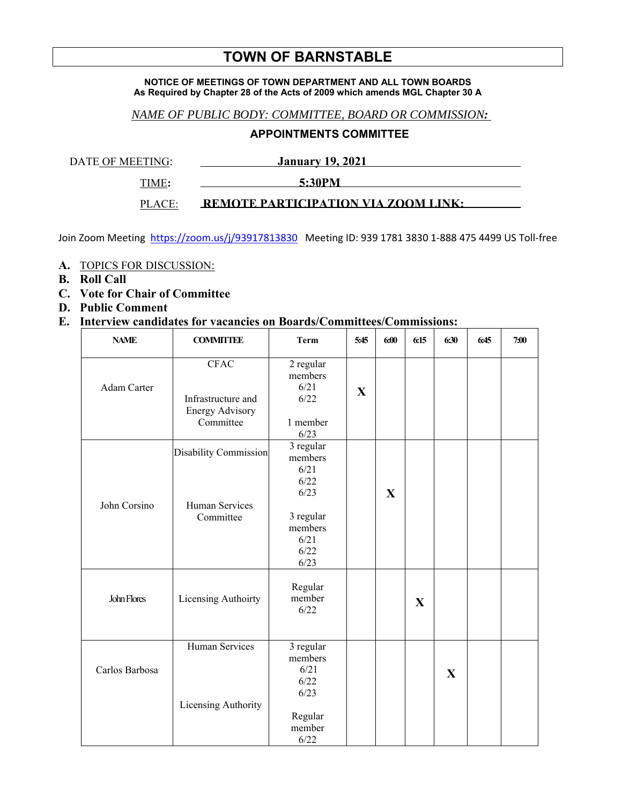# **TOWN OF BARNSTABLE**

#### **NOTICE OF MEETINGS OF TOWN DEPARTMENT AND ALL TOWN BOARDS As Required by Chapter 28 of the Acts of 2009 which amends MGL Chapter 30 A**

### *NAME OF PUBLIC BODY: COMMITTEE, BOARD OR COMMISSION:*

## **APPOINTMENTS COMMITTEE**

DATE OF MEETING: January 19, 2021

**TIME:** 5:30PM

PLACE: **REMOTE PARTICIPATION VIA ZOOM LINK:** 

Join Zoom Meeting https://zoom.us/j/93917813830 Meeting ID: 939 1781 3830 1-888 475 4499 US Toll-free

- **A.** TOPICS FOR DISCUSSION:
- **B. Roll Call**
- **C. Vote for Chair of Committee**
- **D. Public Comment**

### **E. Interview candidates for vacancies on Boards/Committees/Commissions:**

| <b>NAME</b>    | <b>COMMITTEE</b>                                                  | <b>Term</b>                                                                                  | 5:45 | 6:00        | 6:15         | 6:30        | 6:45 | 7:00 |
|----------------|-------------------------------------------------------------------|----------------------------------------------------------------------------------------------|------|-------------|--------------|-------------|------|------|
| Adam Carter    | <b>CFAC</b><br>Infrastructure and<br>Energy Advisory<br>Committee | $2$ regular<br>members<br>6/21<br>6/22<br>1 member<br>6/23                                   | X    |             |              |             |      |      |
| John Corsino   | Disability Commission<br>Human Services<br>Committee              | 3 regular<br>members<br>6/21<br>6/22<br>6/23<br>3 regular<br>members<br>6/21<br>6/22<br>6/23 |      | $\mathbf X$ |              |             |      |      |
| John Flores    | Licensing Authoirty                                               | Regular<br>member<br>6/22                                                                    |      |             | $\mathbf{X}$ |             |      |      |
| Carlos Barbosa | Human Services<br>Licensing Authority                             | 3 regular<br>members<br>6/21<br>6/22<br>6/23<br>Regular<br>member<br>6/22                    |      |             |              | $\mathbf X$ |      |      |